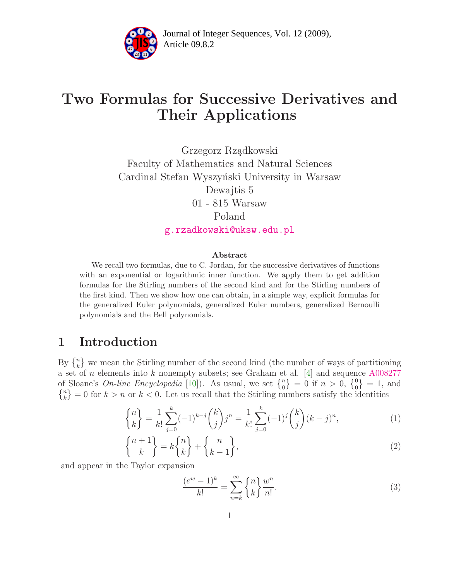

Article 09.8.2 **<sup>2</sup>** Journal of Integer Sequences, Vol. 12 (2009),

# Two Formulas for Successive Derivatives and Their Applications

Grzegorz Rz¸adkowski Faculty of Mathematics and Natural Sciences Cardinal Stefan Wyszyński University in Warsaw Dewajtis 5 01 - 815 Warsaw Poland [g.rzadkowski@uksw.edu.pl](mailto:g.rzadkowski@uksw.edu.pl)

#### Abstract

We recall two formulas, due to C. Jordan, for the successive derivatives of functions with an exponential or logarithmic inner function. We apply them to get addition formulas for the Stirling numbers of the second kind and for the Stirling numbers of the first kind. Then we show how one can obtain, in a simple way, explicit formulas for the generalized Euler polynomials, generalized Euler numbers, generalized Bernoulli polynomials and the Bell polynomials.

## 1 Introduction

By  $\{n\}\$  we mean the Stirling number of the second kind (the number of ways of partitioning a set of n elements into k nonempty subsets; see Graham et al. [\[4\]](#page-9-0) and sequence  $\underline{A008277}$  $\underline{A008277}$  $\underline{A008277}$ of Sloane's *On-line Encyclopedia* [\[10\]](#page-9-1)). As usual, we set  $\{^{n}_{0}\}=0$  if  $n>0$ ,  $\{^{0}_{0}\}=1$ , and  $\{n\}\{k\} = 0$  for  $k > n$  or  $k < 0$ . Let us recall that the Stirling numbers satisfy the identities

$$
\begin{Bmatrix} n \\ k \end{Bmatrix} = \frac{1}{k!} \sum_{j=0}^{k} (-1)^{k-j} \binom{k}{j} j^n = \frac{1}{k!} \sum_{j=0}^{k} (-1)^j \binom{k}{j} (k-j)^n, \tag{1}
$$

<span id="page-0-1"></span>
$$
\begin{Bmatrix} n+1 \\ k \end{Bmatrix} = k \begin{Bmatrix} n \\ k \end{Bmatrix} + \begin{Bmatrix} n \\ k-1 \end{Bmatrix},\tag{2}
$$

<span id="page-0-0"></span>and appear in the Taylor expansion

$$
\frac{(e^w - 1)^k}{k!} = \sum_{n=k}^{\infty} \binom{n}{k} \frac{w^n}{n!}.
$$
\n(3)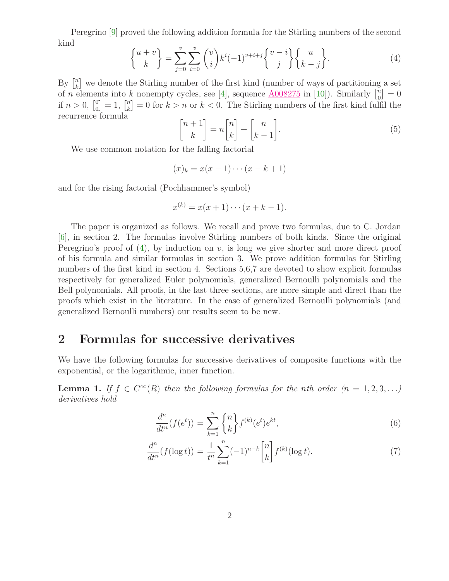<span id="page-1-0"></span>Peregrino [\[9\]](#page-9-2) proved the following addition formula for the Stirling numbers of the second kind

$$
\begin{Bmatrix} u+v \\ k \end{Bmatrix} = \sum_{j=0}^{v} \sum_{i=0}^{v} \binom{v}{i} k^{i} (-1)^{v+i+j} \begin{Bmatrix} v-i \\ j \end{Bmatrix} \begin{Bmatrix} u \\ k-j \end{Bmatrix}.
$$
 (4)

<span id="page-1-2"></span>By  $\left[\begin{matrix}n\\ k\end{matrix}\right]$  $\binom{n}{k}$  we denote the Stirling number of the first kind (number of ways of partitioning a set of *n* elements into *k* nonempty cycles, see [\[4\]](#page-9-0), sequence  $\underline{A008275}$  $\underline{A008275}$  $\underline{A008275}$  in [\[10\]](#page-9-1)). Similarly  $\begin{bmatrix} n \\ 0 \end{bmatrix}$  $\binom{n}{0} = 0$ if  $n > 0, \, \begin{bmatrix} 0 \\ 0 \end{bmatrix}$  $\binom{0}{0} = 1, \ \binom{n}{k}$  $\binom{n}{k} = 0$  for  $k > n$  or  $k < 0$ . The Stirling numbers of the first kind fulfil the recurrence formula

$$
\begin{bmatrix} n+1 \\ k \end{bmatrix} = n \begin{bmatrix} n \\ k \end{bmatrix} + \begin{bmatrix} n \\ k-1 \end{bmatrix}.
$$
 (5)

We use common notation for the falling factorial

$$
(x)_k = x(x-1)\cdots(x-k+1)
$$

and for the rising factorial (Pochhammer's symbol)

$$
x^{(k)} = x(x+1)\cdots(x+k-1).
$$

The paper is organized as follows. We recall and prove two formulas, due to C. Jordan [\[6\]](#page-9-3), in section 2. The formulas involve Stirling numbers of both kinds. Since the original Peregrino's proof of  $(4)$ , by induction on v, is long we give shorter and more direct proof of his formula and similar formulas in section 3. We prove addition formulas for Stirling numbers of the first kind in section 4. Sections 5,6,7 are devoted to show explicit formulas respectively for generalized Euler polynomials, generalized Bernoulli polynomials and the Bell polynomials. All proofs, in the last three sections, are more simple and direct than the proofs which exist in the literature. In the case of generalized Bernoulli polynomials (and generalized Bernoulli numbers) our results seem to be new.

#### 2 Formulas for successive derivatives

We have the following formulas for successive derivatives of composite functions with the exponential, or the logarithmic, inner function.

**Lemma 1.** If  $f \in C^{\infty}(R)$  then the following formulas for the nth order  $(n = 1, 2, 3, ...)$ derivatives hold

$$
\frac{d^n}{dt^n}(f(e^t)) = \sum_{k=1}^n \binom{n}{k} f^{(k)}(e^t) e^{kt},\tag{6}
$$

<span id="page-1-1"></span>
$$
\frac{d^n}{dt^n}(f(\log t)) = \frac{1}{t^n} \sum_{k=1}^n (-1)^{n-k} \binom{n}{k} f^{(k)}(\log t). \tag{7}
$$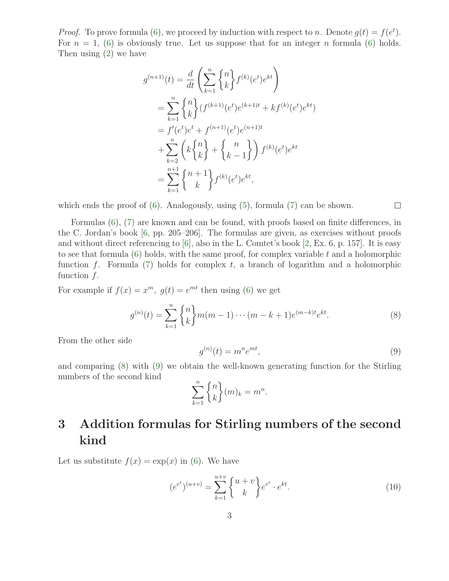*Proof.* To prove formula [\(6\)](#page-1-1), we proceed by induction with respect to n. Denote  $g(t) = f(e^t)$ . For  $n = 1$ , [\(6\)](#page-1-1) is obviously true. Let us suppose that for an integer n formula (6) holds. Then using [\(2\)](#page-0-0) we have

$$
g^{(n+1)}(t) = \frac{d}{dt} \left( \sum_{k=1}^{n} \binom{n}{k} f^{(k)}(e^t) e^{kt} \right)
$$
  
\n
$$
= \sum_{k=1}^{n} \binom{n}{k} (f^{(k+1)}(e^t) e^{(k+1)t} + kf^{(k)}(e^t) e^{kt})
$$
  
\n
$$
= f'(e^t) e^t + f^{(n+1)}(e^t) e^{(n+1)t}
$$
  
\n
$$
+ \sum_{k=2}^{n} \left( k \binom{n}{k} + \binom{n}{k-1} \right) f^{(k)}(e^t) e^{kt}
$$
  
\n
$$
= \sum_{k=1}^{n+1} \binom{n+1}{k} f^{(k)}(e^t) e^{kt},
$$

which ends the proof of  $(6)$ . Analogously, using  $(5)$ , formula  $(7)$  can be shown.

Formulas [\(6\)](#page-1-1), [\(7\)](#page-1-1) are known and can be found, with proofs based on finite differences, in the C. Jordan's book [\[6,](#page-9-3) pp. 205–206]. The formulas are given, as exercises without proofs and without direct referencing to [\[6\]](#page-9-3), also in the L. Comtet's book [\[2,](#page-9-4) Ex. 6, p. 157]. It is easy to see that formula  $(6)$  holds, with the same proof, for complex variable t and a holomorphic function f. Formula  $(7)$  holds for complex t, a branch of logarithm and a holomorphic function  $f$ .

For example if  $f(x) = x^m$ ,  $g(t) = e^{mt}$  then using [\(6\)](#page-1-1) we get

$$
g^{(n)}(t) = \sum_{k=1}^{n} \binom{n}{k} m(m-1)\cdots(m-k+1)e^{(m-k)t}e^{kt}.
$$
 (8)

<span id="page-2-1"></span>From the other side

<span id="page-2-0"></span>
$$
g^{(n)}(t) = m^n e^{mt},\tag{9}
$$

 $\Box$ 

and comparing [\(8\)](#page-2-0) with [\(9\)](#page-2-1) we obtain the well-known generating function for the Stirling numbers of the second kind

$$
\sum_{k=1}^{n} \binom{n}{k} (m)_k = m^n.
$$

# 3 Addition formulas for Stirling numbers of the second kind

Let us substitute  $f(x) = \exp(x)$  in [\(6\)](#page-1-1). We have

<span id="page-2-2"></span>
$$
(e^{e^t})^{(u+v)} = \sum_{k=1}^{u+v} \begin{Bmatrix} u+v \\ k \end{Bmatrix} e^{e^t} \cdot e^{kt}.
$$
 (10)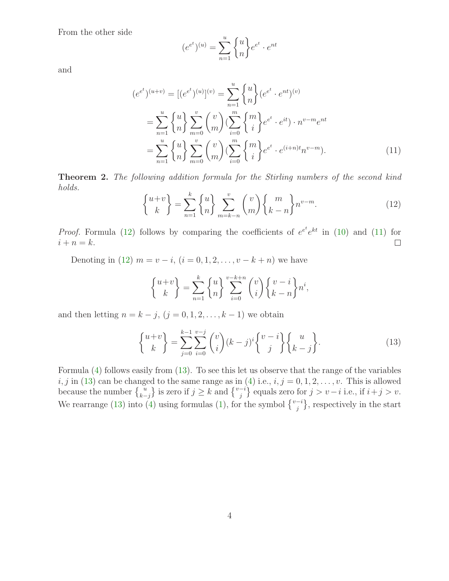From the other side

$$
(e^{e^t})^{(u)} = \sum_{n=1}^u \begin{Bmatrix} u \\ n \end{Bmatrix} e^{e^t} \cdot e^{nt}
$$

<span id="page-3-1"></span>and

$$
(e^{e^t})^{(u+v)} = [(e^{e^t})^{(u)}]^{(v)} = \sum_{n=1}^{u} {u \choose n} (e^{e^t} \cdot e^{nt})^{(v)}
$$
  

$$
= \sum_{n=1}^{u} {u \choose n} \sum_{m=0}^{v} {v \choose m} (\sum_{i=0}^{m} {m \choose i} e^{e^t} \cdot e^{it}) \cdot n^{v-m} e^{nt}
$$
  

$$
= \sum_{n=1}^{u} {u \choose n} \sum_{m=0}^{v} {v \choose m} (\sum_{i=0}^{m} {m \choose i} e^{e^t} \cdot e^{(i+n)t} n^{v-m}). \qquad (11)
$$

<span id="page-3-0"></span>Theorem 2. The following addition formula for the Stirling numbers of the second kind holds.

$$
\begin{Bmatrix} u+v \\ k \end{Bmatrix} = \sum_{n=1}^{k} \begin{Bmatrix} u \\ n \end{Bmatrix} \sum_{m=k-n}^{v} \binom{v}{m} \begin{Bmatrix} m \\ k-n \end{Bmatrix} n^{v-m}.
$$
 (12)

*Proof.* Formula [\(12\)](#page-3-0) follows by comparing the coefficients of  $e^{e^t}e^{kt}$  in [\(10\)](#page-2-2) and [\(11\)](#page-3-1) for  $i + n = k$ .  $\Box$ 

Denoting in [\(12\)](#page-3-0)  $m = v - i$ ,  $(i = 0, 1, 2, ..., v - k + n)$  we have

<span id="page-3-2"></span>
$$
\begin{Bmatrix} u+v \\ k \end{Bmatrix} = \sum_{n=1}^{k} \begin{Bmatrix} u \\ n \end{Bmatrix} \sum_{i=0}^{v-k+n} \binom{v}{i} \begin{Bmatrix} v-i \\ k-n \end{Bmatrix} n^{i},
$$

and then letting  $n = k - j$ ,  $(j = 0, 1, 2, \ldots, k - 1)$  we obtain

$$
\begin{Bmatrix} u+v \\ k \end{Bmatrix} = \sum_{j=0}^{k-1} \sum_{i=0}^{v-j} \binom{v}{i} (k-j)^i \binom{v-i}{j} \begin{Bmatrix} u \\ k-j \end{Bmatrix}.
$$
 (13)

Formula [\(4\)](#page-1-0) follows easily from [\(13\)](#page-3-2). To see this let us observe that the range of the variables  $i, j$  in [\(13\)](#page-3-2) can be changed to the same range as in [\(4\)](#page-1-0) i.e.,  $i, j = 0, 1, 2, \ldots, v$ . This is allowed because the number  $\begin{Bmatrix} u \\ k-j \end{Bmatrix}$  is zero if  $j \ge k$  and  $\begin{Bmatrix} v-i \\ j \end{Bmatrix}$  equals zero for  $j > v-i$  i.e., if  $i+j > v$ . We rearrange [\(13\)](#page-3-2) into [\(4\)](#page-1-0) using formulas [\(1\)](#page-0-0), for the symbol  $\{v_i^{-i}\}$ , respectively in the start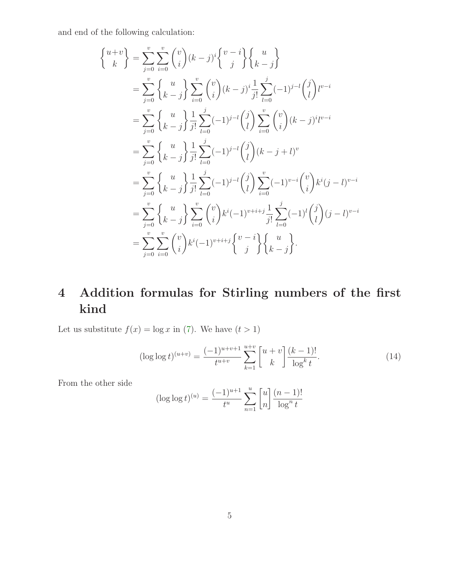and end of the following calculation:

$$
\begin{aligned}\n\left\{\n\begin{aligned}\n u+v \\
 k\n\end{aligned}\n\right\} &= \sum_{j=0}^{v} \sum_{i=0}^{v} \binom{v}{i} (k-j)^{i} \binom{v-i}{j} \binom{u}{k-j} \\
&= \sum_{j=0}^{v} \binom{u}{k-j} \sum_{i=0}^{v} \binom{v}{i} (k-j)^{i} \frac{1}{j!} \sum_{l=0}^{j} (-1)^{j-l} \binom{j}{l} t^{v-i} \\
&= \sum_{j=0}^{v} \binom{u}{k-j} \frac{1}{j!} \sum_{l=0}^{j} (-1)^{j-l} \binom{j}{l} \sum_{i=0}^{v} \binom{v}{i} (k-j)^{i} t^{v-i} \\
&= \sum_{j=0}^{v} \binom{u}{k-j} \frac{1}{j!} \sum_{l=0}^{j} (-1)^{j-l} \binom{j}{l} (k-j+l)^{v} \\
&= \sum_{j=0}^{v} \binom{u}{k-j} \frac{1}{j!} \sum_{l=0}^{j} (-1)^{j-l} \binom{j}{l} \sum_{i=0}^{v} (-1)^{v-i} \binom{v}{i} k^{i} (j-l)^{v-i} \\
&= \sum_{j=0}^{v} \binom{u}{k-j} \sum_{i=0}^{v} \binom{v}{i} k^{i} (-1)^{v+i+j} \frac{1}{j!} \sum_{l=0}^{j} (-1)^{l} \binom{j}{l} (j-l)^{v-i} \\
&= \sum_{j=0}^{v} \sum_{i=0}^{v} \binom{v}{i} k^{i} (-1)^{v+i+j} \binom{v-i}{j} \binom{u}{k-j}.\n\end{aligned}
$$

# 4 Addition formulas for Stirling numbers of the first kind

Let us substitute  $f(x) = \log x$  in [\(7\)](#page-1-1). We have  $(t > 1)$ 

<span id="page-4-0"></span>
$$
(\log \log t)^{(u+v)} = \frac{(-1)^{u+v+1}}{t^{u+v}} \sum_{k=1}^{u+v} \begin{bmatrix} u+v \\ k \end{bmatrix} \frac{(k-1)!}{\log^k t}.
$$
 (14)

From the other side

$$
(\log \log t)^{(u)} = \frac{(-1)^{u+1}}{t^u} \sum_{n=1}^u \begin{bmatrix} u \\ n \end{bmatrix} \frac{(n-1)!}{\log^n t}
$$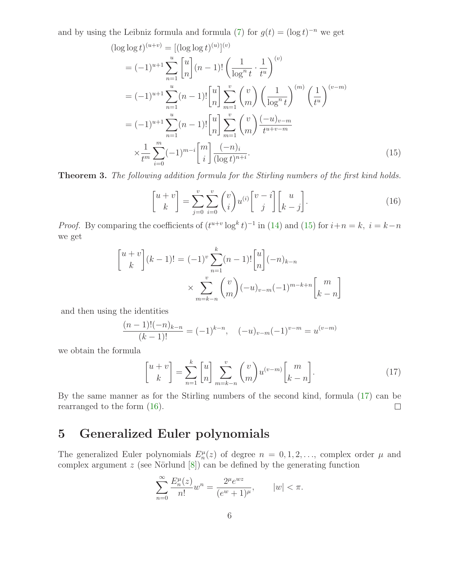<span id="page-5-0"></span>and by using the Leibniz formula and formula [\(7\)](#page-1-1) for  $g(t) = (\log t)^{-n}$  we get

$$
(\log \log t)^{(u+v)} = [(\log \log t)^{(u)}]^{(v)}
$$
  
\n
$$
= (-1)^{u+1} \sum_{n=1}^{u} {u \choose n} (n-1)! \left(\frac{1}{\log^{n} t} \cdot \frac{1}{t^{u}}\right)^{(v)}
$$
  
\n
$$
= (-1)^{u+1} \sum_{n=1}^{u} (n-1)! {u \choose n} \sum_{m=1}^{v} {v \choose m} \left(\frac{1}{\log^{n} t}\right)^{(m)} \left(\frac{1}{t^{u}}\right)^{(v-m)}
$$
  
\n
$$
= (-1)^{u+1} \sum_{n=1}^{u} (n-1)! {u \choose n} \sum_{m=1}^{v} {v \choose m} \frac{(-u)_{v-m}}{t^{u+v-m}}
$$
  
\n
$$
\times \frac{1}{t^{m}} \sum_{i=0}^{m} (-1)^{m-i} {m \choose i} \frac{(-n)_{i}}{(\log t)^{n+i}}.
$$
 (15)

<span id="page-5-2"></span>Theorem 3. The following addition formula for the Stirling numbers of the first kind holds.

$$
\begin{bmatrix} u+v \\ k \end{bmatrix} = \sum_{j=0}^{v} \sum_{i=0}^{v} \binom{v}{i} u^{(i)} \begin{bmatrix} v-i \\ j \end{bmatrix} \begin{bmatrix} u \\ k-j \end{bmatrix}.
$$
 (16)

*Proof.* By comparing the coefficients of  $(t^{u+v} \log^k t)^{-1}$  in [\(14\)](#page-4-0) and [\(15\)](#page-5-0) for  $i+n=k$ ,  $i=k-n$ we get

$$
\begin{aligned} \begin{bmatrix} u+v \\ k \end{bmatrix} (k-1)! &= (-1)^v \sum_{n=1}^k (n-1)! \begin{bmatrix} u \\ n \end{bmatrix} (-n)_{k-n} \\ & \times \sum_{m=k-n}^v \binom{v}{m} (-u)_{v-m} (-1)^{m-k+n} \begin{bmatrix} m \\ k-n \end{bmatrix} \end{aligned}
$$

and then using the identities

<span id="page-5-1"></span>
$$
\frac{(n-1)!(-n)_{k-n}}{(k-1)!} = (-1)^{k-n}, \quad (-u)_{v-m}(-1)^{v-m} = u^{(v-m)}
$$

we obtain the formula

$$
\begin{bmatrix} u+v \\ k \end{bmatrix} = \sum_{n=1}^{k} \begin{bmatrix} u \\ n \end{bmatrix} \sum_{m=k-n}^{v} \binom{v}{m} u^{(v-m)} \begin{bmatrix} m \\ k-n \end{bmatrix} . \tag{17}
$$

By the same manner as for the Stirling numbers of the second kind, formula [\(17\)](#page-5-1) can be rearranged to the form [\(16\)](#page-5-2).  $\Box$ 

## 5 Generalized Euler polynomials

The generalized Euler polynomials  $E_n^{\mu}(z)$  of degree  $n = 0, 1, 2, \ldots$ , complex order  $\mu$  and complex argument  $z$  (see Nörlund  $[8]$ ) can be defined by the generating function

$$
\sum_{n=0}^{\infty} \frac{E_n^{\mu}(z)}{n!} w^n = \frac{2^{\mu} e^{wz}}{(e^w + 1)^{\mu}}, \qquad |w| < \pi.
$$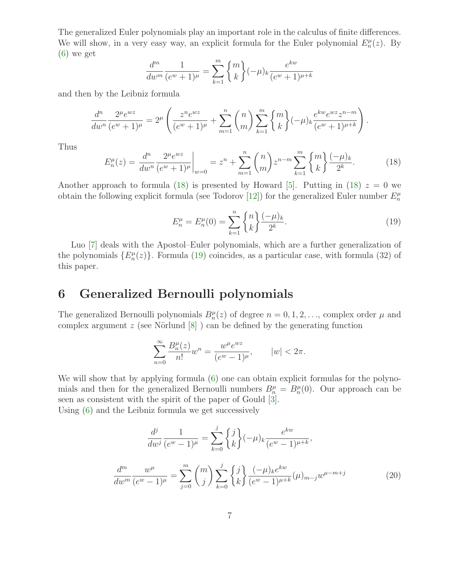The generalized Euler polynomials play an important role in the calculus of finite differences. We will show, in a very easy way, an explicit formula for the Euler polynomial  $E_n^{\mu}(z)$ . By  $(6)$  we get

$$
\frac{d^m}{dw^m} \frac{1}{(e^w + 1)^\mu} = \sum_{k=1}^m \binom{m}{k} (-\mu)_k \frac{e^{kw}}{(e^w + 1)^{\mu+k}}
$$

and then by the Leibniz formula

$$
\frac{d^n}{dw^n} \frac{2^{\mu} e^{wz}}{(e^w + 1)^{\mu}} = 2^{\mu} \left( \frac{z^n e^{wz}}{(e^w + 1)^{\mu}} + \sum_{m=1}^n {n \choose m} \sum_{k=1}^m {m \choose k} (-\mu)_k \frac{e^{kw} e^{wz} z^{n-m}}{(e^w + 1)^{\mu+k}} \right).
$$

<span id="page-6-0"></span>Thus

$$
E_n^{\mu}(z) = \frac{d^n}{dw^n} \frac{2^{\mu} e^{wz}}{(e^w + 1)^{\mu}} \bigg|_{w=0} = z^n + \sum_{m=1}^n \binom{n}{m} z^{n-m} \sum_{k=1}^m \binom{m}{k} \frac{(-\mu)_k}{2^k}.
$$
 (18)

<span id="page-6-1"></span>Another approach to formula [\(18\)](#page-6-0) is presented by Howard [\[5\]](#page-9-6). Putting in (18)  $z = 0$  we obtain the following explicit formula (see Todorov [\[12\]](#page-10-0)) for the generalized Euler number  $E_n^{\mu}$ 

$$
E_n^{\mu} = E_n^{\mu}(0) = \sum_{k=1}^n \binom{n}{k} \frac{(-\mu)_k}{2^k}.
$$
\n(19)

Luo [\[7\]](#page-9-7) deals with the Apostol–Euler polynomials, which are a further generalization of the polynomials  $\{E_n^{\mu}(z)\}\$ . Formula [\(19\)](#page-6-1) coincides, as a particular case, with formula (32) of this paper.

#### 6 Generalized Bernoulli polynomials

The generalized Bernoulli polynomials  $B_n^{\mu}(z)$  of degree  $n = 0, 1, 2, \ldots$ , complex order  $\mu$  and complex argument  $z$  (see Nörlund  $[8]$ ) can be defined by the generating function

$$
\sum_{n=0}^{\infty} \frac{B_n^{\mu}(z)}{n!} w^n = \frac{w^{\mu} e^{wz}}{(e^w - 1)^{\mu}}, \qquad |w| < 2\pi.
$$

We will show that by applying formula  $(6)$  one can obtain explicit formulas for the polynomials and then for the generalized Bernoulli numbers  $B_n^{\mu} = B_n^{\mu}(0)$ . Our approach can be seen as consistent with the spirit of the paper of Gould [\[3\]](#page-9-8).

<span id="page-6-2"></span>Using [\(6\)](#page-1-1) and the Leibniz formula we get successively

$$
\frac{d^j}{dw^j} \frac{1}{(e^w - 1)^\mu} = \sum_{k=0}^j \binom{j}{k} (-\mu)_k \frac{e^{kw}}{(e^w - 1)^{\mu + k}},
$$

$$
\frac{d^m}{dw^m} \frac{w^\mu}{(e^w - 1)^\mu} = \sum_{j=0}^m \binom{m}{j} \sum_{k=0}^j \binom{j}{k} \frac{(-\mu)_k e^{kw}}{(e^w - 1)^{\mu + k}} (\mu)_{m-j} w^{\mu - m + j}
$$
(20)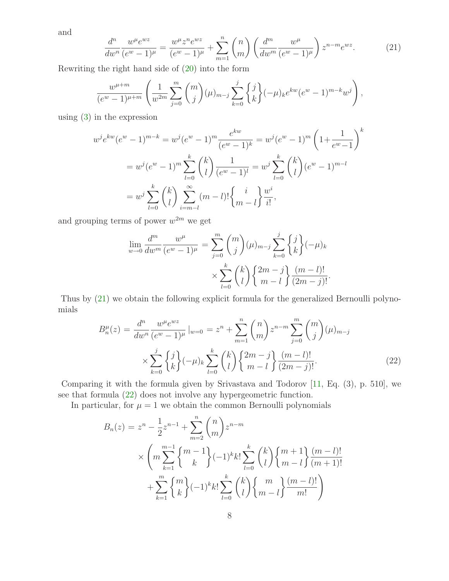<span id="page-7-0"></span>and

$$
\frac{d^n}{dw^n} \frac{w^{\mu} e^{wz}}{(e^w - 1)^{\mu}} = \frac{w^{\mu} z^n e^{wz}}{(e^w - 1)^{\mu}} + \sum_{m=1}^n {n \choose m} \left( \frac{d^m}{dw^m} \frac{w^{\mu}}{(e^w - 1)^{\mu}} \right) z^{n - m} e^{wz}.
$$
 (21)

Rewriting the right hand side of [\(20\)](#page-6-2) into the form

$$
\frac{w^{\mu+m}}{(e^w-1)^{\mu+m}}\left(\frac{1}{w^{2m}}\sum_{j=0}^m \binom{m}{j}(\mu)_{m-j}\sum_{k=0}^j \binom{j}{k}(-\mu)_k e^{kw}(e^w-1)^{m-k}w^j\right),
$$

using [\(3\)](#page-0-1) in the expression

$$
w^{j}e^{kw}(e^{w}-1)^{m-k} = w^{j}(e^{w}-1)^{m}\frac{e^{kw}}{(e^{w}-1)^{k}} = w^{j}(e^{w}-1)^{m}\left(1+\frac{1}{e^{w}-1}\right)^{k}
$$

$$
= w^{j}(e^{w}-1)^{m}\sum_{l=0}^{k} {k \choose l} \frac{1}{(e^{w}-1)^{l}} = w^{j}\sum_{l=0}^{k} {k \choose l} (e^{w}-1)^{m-l}
$$

$$
= w^{j}\sum_{l=0}^{k} {k \choose l} \sum_{i=m-l}^{\infty} (m-l)! \left\{ \frac{i}{m-l} \right\} \frac{w^{i}}{i!},
$$

and grouping terms of power  $w^{2m}$  we get

$$
\lim_{w \to 0} \frac{d^m}{dw^m} \frac{w^\mu}{(e^w - 1)^\mu} = \sum_{j=0}^m \binom{m}{j} (\mu)_{m-j} \sum_{k=0}^j \binom{j}{k} (-\mu)_k
$$

$$
\times \sum_{l=0}^k \binom{k}{l} \binom{2m-j}{m-l} \frac{(m-l)!}{(2m-j)!}.
$$

<span id="page-7-1"></span>Thus by [\(21\)](#page-7-0) we obtain the following explicit formula for the generalized Bernoulli polynomials

$$
B_n^{\mu}(z) = \frac{d^n}{dw^n} \frac{w^{\mu} e^{wz}}{(e^w - 1)^{\mu}} \Big|_{w=0} = z^n + \sum_{m=1}^n {n \choose m} z^{n-m} \sum_{j=0}^m {m \choose j} (\mu)_{m-j}
$$

$$
\times \sum_{k=0}^j {j \choose k} (-\mu)_k \sum_{l=0}^k {k \choose l} \frac{2m-j}{m-l} \frac{(m-l)!}{(2m-j)!}.
$$
(22)

Comparing it with the formula given by Srivastava and Todorov [\[11,](#page-9-9) Eq. (3), p. 510], we see that formula [\(22\)](#page-7-1) does not involve any hypergeometric function.

In particular, for  $\mu = 1$  we obtain the common Bernoulli polynomials

$$
B_n(z) = z^n - \frac{1}{2}z^{n-1} + \sum_{m=2}^n {n \choose m} z^{n-m}
$$
  
 
$$
\times \left( m \sum_{k=1}^{m-1} {m-1 \choose k} (-1)^k k! \sum_{l=0}^k {k \choose l} {m+1 \choose m-l} \frac{(m-l)!}{(m+1)!} + \sum_{k=1}^m {m \choose k} (-1)^k k! \sum_{l=0}^k {k \choose l} {m \choose m-l} \frac{(m-l)!}{m!} \right)
$$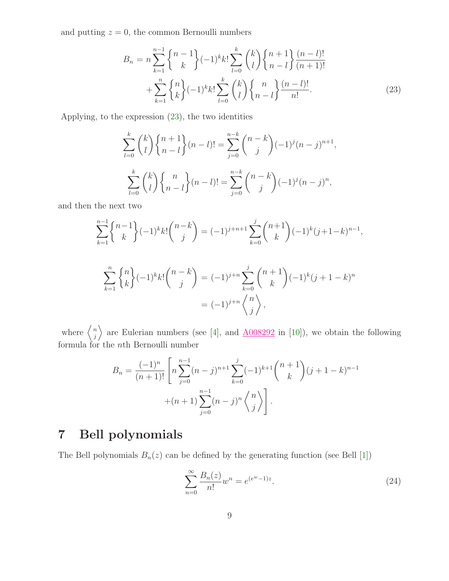<span id="page-8-0"></span>and putting  $z = 0$ , the common Bernoulli numbers

$$
B_n = n \sum_{k=1}^{n-1} {n-1 \choose k} (-1)^k k! \sum_{l=0}^k {k \choose l} {n+1 \choose n-l} \frac{(n-l)!}{(n+1)!}
$$
  
+ 
$$
\sum_{k=1}^n {n \choose k} (-1)^k k! \sum_{l=0}^k {k \choose l} {n \choose n-l} \frac{(n-l)!}{n!}.
$$
 (23)

Applying, to the expression [\(23\)](#page-8-0), the two identities

$$
\sum_{l=0}^{k} \binom{k}{l} \binom{n+1}{n-l} (n-l)! = \sum_{j=0}^{n-k} \binom{n-k}{j} (-1)^j (n-j)^{n+1},
$$
  

$$
\sum_{l=0}^{k} \binom{k}{l} \binom{n}{n-l} (n-l)! = \sum_{j=0}^{n-k} \binom{n-k}{j} (-1)^j (n-j)^n,
$$

and then the next two

$$
\sum_{k=1}^{n-1} \binom{n-1}{k} (-1)^k k! \binom{n-k}{j} = (-1)^{j+n+1} \sum_{k=0}^j \binom{n+1}{k} (-1)^k (j+1-k)^{n-1},
$$
  

$$
\sum_{k=1}^n \binom{n}{k} (-1)^k k! \binom{n-k}{j} = (-1)^{j+n} \sum_{k=0}^j \binom{n+1}{k} (-1)^k (j+1-k)^n
$$
  

$$
= (-1)^{j+n} \binom{n}{k},
$$

where  $\begin{cases} n \\ i \end{cases}$  $\binom{n}{j}$  are Eulerian numbers (see [\[4\]](#page-9-0), and  $\underline{A008292}$  $\underline{A008292}$  $\underline{A008292}$  in [\[10\]](#page-9-1)), we obtain the following formula for the nth Bernoulli number

j

$$
B_n = \frac{(-1)^n}{(n+1)!} \left[ n \sum_{j=0}^{n-1} (n-j)^{n+1} \sum_{k=0}^j (-1)^{k+1} \binom{n+1}{k} (j+1-k)^{n-1} + (n+1) \sum_{j=0}^{n-1} (n-j)^n \binom{n}{j} \right].
$$

# 7 Bell polynomials

The Bell polynomials  $B_n(z)$  can be defined by the generating function (see Bell [\[1\]](#page-9-10))

<span id="page-8-1"></span>
$$
\sum_{n=0}^{\infty} \frac{B_n(z)}{n!} w^n = e^{(e^w - 1)z}.
$$
\n(24)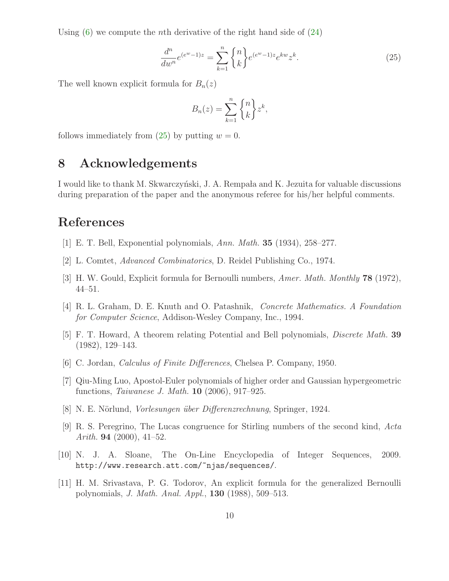Using  $(6)$  we compute the *n*th derivative of the right hand side of  $(24)$ 

$$
\frac{d^n}{dw^n}e^{(e^w-1)z} = \sum_{k=1}^n \binom{n}{k} e^{(e^w-1)z} e^{kw} z^k.
$$
\n(25)

The well known explicit formula for  $B_n(z)$ 

<span id="page-9-11"></span>
$$
B_n(z) = \sum_{k=1}^n \binom{n}{k} z^k,
$$

follows immediately from  $(25)$  by putting  $w = 0$ .

## 8 Acknowledgements

I would like to thank M. Skwarczyński, J. A. Rempala and K. Jezuita for valuable discussions during preparation of the paper and the anonymous referee for his/her helpful comments.

### <span id="page-9-10"></span>References

- <span id="page-9-4"></span>[1] E. T. Bell, Exponential polynomials, Ann. Math. 35 (1934), 258–277.
- <span id="page-9-8"></span>[2] L. Comtet, Advanced Combinatorics, D. Reidel Publishing Co., 1974.
- <span id="page-9-0"></span>[3] H. W. Gould, Explicit formula for Bernoulli numbers, Amer. Math. Monthly **78** (1972), 44–51.
- <span id="page-9-6"></span>[4] R. L. Graham, D. E. Knuth and O. Patashnik, Concrete Mathematics. A Foundation for Computer Science, Addison-Wesley Company, Inc., 1994.
- <span id="page-9-3"></span>[5] F. T. Howard, A theorem relating Potential and Bell polynomials, Discrete Math. 39 (1982), 129–143.
- <span id="page-9-7"></span>[6] C. Jordan, Calculus of Finite Differences, Chelsea P. Company, 1950.
- [7] Qiu-Ming Luo, Apostol-Euler polynomials of higher order and Gaussian hypergeometric functions, Taiwanese J. Math. 10 (2006), 917–925.
- <span id="page-9-5"></span><span id="page-9-2"></span>[8] N. E. Nörlund, *Vorlesungen über Differenzrechnung*, Springer, 1924.
- [9] R. S. Peregrino, The Lucas congruence for Stirling numbers of the second kind, Acta Arith. **94** (2000), 41–52.
- <span id="page-9-9"></span><span id="page-9-1"></span>[10] N. J. A. Sloane, The On-Line Encyclopedia of Integer Sequences, 2009. http://www.research.att.com/~njas/sequences/.
- [11] H. M. Srivastava, P. G. Todorov, An explicit formula for the generalized Bernoulli polynomials, J. Math. Anal. Appl., 130 (1988), 509–513.